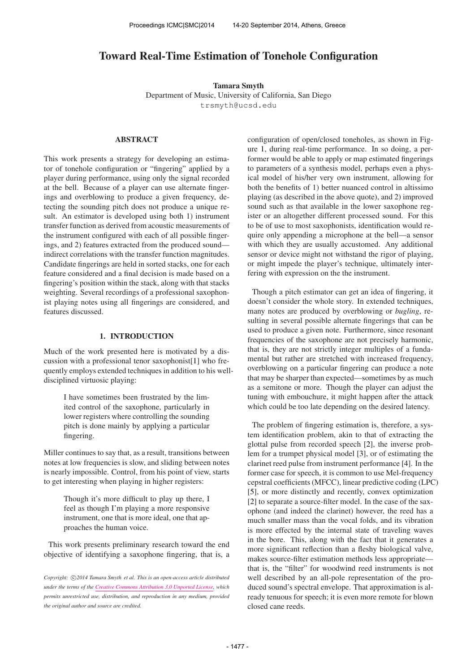# Toward Real-Time Estimation of Tonehole Configuration

Tamara Smyth Department of Music, University of California, San Diego [trsmyth@ucsd.edu](mailto:trsmyth@ucsd.edu)

# ABSTRACT

This work presents a strategy for developing an estimator of tonehole configuration or "fingering" applied by a player during performance, using only the signal recorded at the bell. Because of a player can use alternate fingerings and overblowing to produce a given frequency, detecting the sounding pitch does not produce a unique result. An estimator is developed using both 1) instrument transfer function as derived from acoustic measurements of the instrument configured with each of all possible fingerings, and 2) features extracted from the produced sound indirect correlations with the transfer function magnitudes. Candidate fingerings are held in sorted stacks, one for each feature considered and a final decision is made based on a fingering's position within the stack, along with that stacks weighting. Several recordings of a professional saxophonist playing notes using all fingerings are considered, and features discussed.

# 1. INTRODUCTION

Much of the work presented here is motivated by a discussion with a professional tenor saxophonist[1] who frequently employs extended techniques in addition to his welldisciplined virtuosic playing:

> I have sometimes been frustrated by the limited control of the saxophone, particularly in lower registers where controlling the sounding pitch is done mainly by applying a particular fingering.

Miller continues to say that, as a result, transitions between notes at low frequencies is slow, and sliding between notes is nearly impossible. Control, from his point of view, starts to get interesting when playing in higher registers:

> Though it's more difficult to play up there, I feel as though I'm playing a more responsive instrument, one that is more ideal, one that approaches the human voice.

This work presents preliminary research toward the end objective of identifying a saxophone fingering, that is, a configuration of open/closed toneholes, as shown in Figure 1, during real-time performance. In so doing, a performer would be able to apply or map estimated fingerings to parameters of a synthesis model, perhaps even a physical model of his/her very own instrument, allowing for both the benefits of 1) better nuanced control in altissimo playing (as described in the above quote), and 2) improved sound such as that available in the lower saxophone register or an altogether different processed sound. For this to be of use to most saxophonists, identification would require only appending a microphone at the bell—a sensor with which they are usually accustomed. Any additional sensor or device might not withstand the rigor of playing, or might impede the player's technique, ultimately interfering with expression on the the instrument.

Though a pitch estimator can get an idea of fingering, it doesn't consider the whole story. In extended techniques, many notes are produced by overblowing or *bugling*, resulting in several possible alternate fingerings that can be used to produce a given note. Furthermore, since resonant frequencies of the saxophone are not precisely harmonic, that is, they are not strictly integer multiples of a fundamental but rather are stretched with increased frequency, overblowing on a particular fingering can produce a note that may be sharper than expected—sometimes by as much as a semitone or more. Though the player can adjust the tuning with embouchure, it might happen after the attack which could be too late depending on the desired latency.

The problem of fingering estimation is, therefore, a system identification problem, akin to that of extracting the glottal pulse from recorded speech [2], the inverse problem for a trumpet physical model [3], or of estimating the clarinet reed pulse from instrument performance [4]. In the former case for speech, it is common to use Mel-frequency cepstral coefficients (MFCC), linear predictive coding (LPC) [5], or more distinctly and recently, convex optimization [2] to separate a source-filter model. In the case of the saxophone (and indeed the clarinet) however, the reed has a much smaller mass than the vocal folds, and its vibration is more effected by the internal state of traveling waves in the bore. This, along with the fact that it generates a more significant reflection than a fleshy biological valve, makes source-filter estimation methods less appropriate that is, the "filter" for woodwind reed instruments is not well described by an all-pole representation of the produced sound's spectral envelope. That approximation is already tenuous for speech; it is even more remote for blown closed cane reeds.

Copyright:  $\bigcirc$ 2014 Tamara Smyth et al. This is an open-access article distributed *under the terms of the [Creative Commons Attribution 3.0 Unported License,](http://creativecommons.org/licenses/by/3.0/) which permits unrestricted use, distribution, and reproduction in any medium, provided the original author and source are credited.*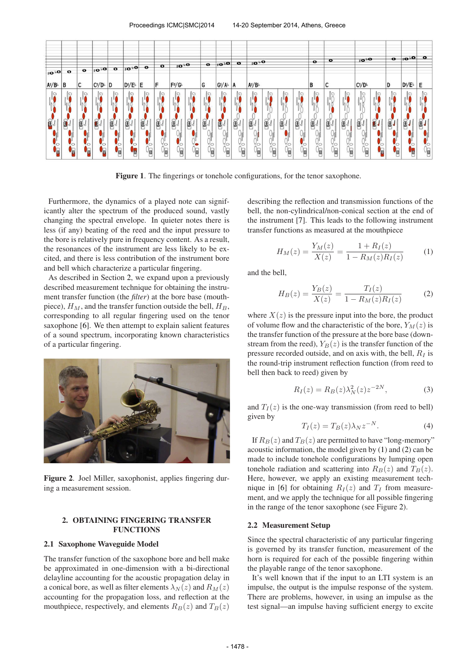

Figure 1. The fingerings or tonehole configurations, for the tenor saxophone.

Furthermore, the dynamics of a played note can significantly alter the spectrum of the produced sound, vastly changing the spectral envelope. In quieter notes there is less (if any) beating of the reed and the input pressure to the bore is relatively pure in frequency content. As a result, the resonances of the instrument are less likely to be excited, and there is less contribution of the instrument bore and bell which characterize a particular fingering.

As described in Section 2, we expand upon a previously described measurement technique for obtaining the instrument transfer function (the *filter*) at the bore base (mouthpiece),  $H_M$ , and the transfer function outside the bell,  $H_B$ , corresponding to all regular fingering used on the tenor saxophone [6]. We then attempt to explain salient features of a sound spectrum, incorporating known characteristics of a particular fingering.



Figure 2. Joel Miller, saxophonist, applies fingering during a measurement session.

# 2. OBTAINING FINGERING TRANSFER FUNCTIONS

# 2.1 Saxophone Waveguide Model

The transfer function of the saxophone bore and bell make be approximated in one-dimension with a bi-directional delayline accounting for the acoustic propagation delay in a conical bore, as well as filter elements  $\lambda_N(z)$  and  $R_M(z)$ accounting for the propagation loss, and reflection at the mouthpiece, respectively, and elements  $R_B(z)$  and  $T_B(z)$ 

describing the reflection and transmission functions of the bell, the non-cylindrical/non-conical section at the end of the instrument [7]. This leads to the following instrument transfer functions as measured at the mouthpiece

$$
H_M(z) = \frac{Y_M(z)}{X(z)} = \frac{1 + R_I(z)}{1 - R_M(z)R_I(z)}\tag{1}
$$

and the bell,

$$
H_B(z) = \frac{Y_B(z)}{X(z)} = \frac{T_I(z)}{1 - R_M(z)R_I(z)}
$$
(2)

where  $X(z)$  is the pressure input into the bore, the product of volume flow and the characteristic of the bore,  $Y_M(z)$  is the transfer function of the pressure at the bore base (downstream from the reed),  $Y_B(z)$  is the transfer function of the pressure recorded outside, and on axis with, the bell,  $R_I$  is the round-trip instrument reflection function (from reed to bell then back to reed) given by

$$
R_I(z) = R_B(z)\lambda_N^2(z)z^{-2N},\tag{3}
$$

and  $T_I(z)$  is the one-way transmission (from reed to bell) given by

$$
T_I(z) = T_B(z)\lambda_N z^{-N}.
$$
 (4)

If  $R_B(z)$  and  $T_B(z)$  are permitted to have "long-memory" acoustic information, the model given by (1) and (2) can be made to include tonehole configurations by lumping open tonehole radiation and scattering into  $R_B(z)$  and  $T_B(z)$ . Here, however, we apply an existing measurement technique in [6] for obtaining  $R_I(z)$  and  $T_I$  from measurement, and we apply the technique for all possible fingering in the range of the tenor saxophone (see Figure 2).

#### 2.2 Measurement Setup

Since the spectral characteristic of any particular fingering is governed by its transfer function, measurement of the horn is required for each of the possible fingering within the playable range of the tenor saxophone.

It's well known that if the input to an LTI system is an impulse, the output is the impulse response of the system. There are problems, however, in using an impulse as the test signal—an impulse having sufficient energy to excite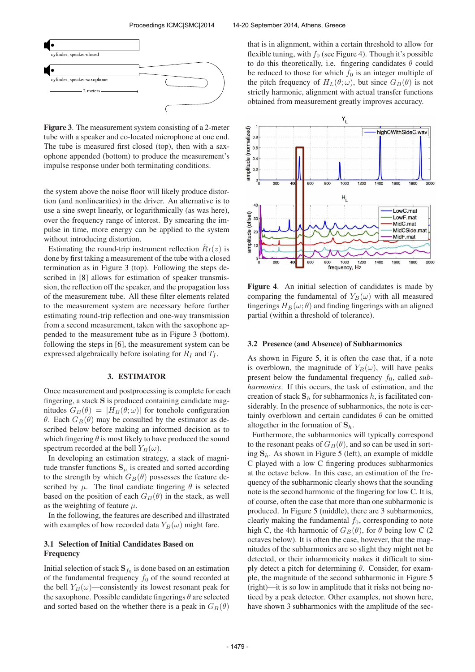

Figure 3. The measurement system consisting of a 2-meter tube with a speaker and co-located microphone at one end. The tube is measured first closed (top), then with a saxophone appended (bottom) to produce the measurement's impulse response under both terminating conditions.

the system above the noise floor will likely produce distortion (and nonlinearities) in the driver. An alternative is to use a sine swept linearly, or logarithmically (as was here), over the frequency range of interest. By smearing the impulse in time, more energy can be applied to the system without introducing distortion.

Estimating the round-trip instrument reflection  $\hat{R}_I(z)$  is done by first taking a measurement of the tube with a closed termination as in Figure 3 (top). Following the steps described in [8] allows for estimation of speaker transmission, the reflection off the speaker, and the propagation loss of the measurement tube. All these filter elements related to the measurement system are necessary before further estimating round-trip reflection and one-way transmission from a second measurement, taken with the saxophone appended to the measurement tube as in Figure 3 (bottom). following the steps in [6], the measurement system can be expressed algebraically before isolating for  $R_I$  and  $T_I$ .

#### 3. ESTIMATOR

Once measurement and postprocessing is complete for each fingering, a stack S is produced containing candidate magnitudes  $G_B(\theta) = |H_B(\theta; \omega)|$  for tonehole configuration θ. Each  $G_B(\theta)$  may be consulted by the estimator as described below before making an informed decision as to which fingering  $\theta$  is most likely to have produced the sound spectrum recorded at the bell  $Y_B(\omega)$ .

In developing an estimation strategy, a stack of magnitude transfer functions  $S_{\mu}$  is created and sorted according to the strength by which  $G_B(\theta)$  possesses the feature described by  $\mu$ . The final candiate fingering  $\theta$  is selected based on the position of each  $G_B(\theta)$  in the stack, as well as the weighting of feature  $\mu$ .

In the following, the features are described and illustrated with examples of how recorded data  $Y_B(\omega)$  might fare.

# 3.1 Selection of Initial Candidates Based on Frequency

Initial selection of stack  $\mathbf{S}_{f_0}$  is done based on an estimation of the fundamental frequency  $f_0$  of the sound recorded at the bell  $Y_B(\omega)$ —consistently its lowest resonant peak for the saxophone. Possible candidate fingerings  $\theta$  are selected and sorted based on the whether there is a peak in  $G_B(\theta)$  that is in alignment, within a certain threshold to allow for flexible tuning, with  $f_0$  (see Figure 4). Though it's possible to do this theoretically, i.e. fingering candidates  $\theta$  could be reduced to those for which  $f_0$  is an integer multiple of the pitch frequency of  $H_L(\theta; \omega)$ , but since  $G_B(\theta)$  is not strictly harmonic, alignment with actual transfer functions obtained from measurement greatly improves accuracy.



Figure 4. An initial selection of candidates is made by comparing the fundamental of  $Y_B(\omega)$  with all measured fingerings  $H_B(\omega; \theta)$  and finding fingerings with an aligned partial (within a threshold of tolerance).

#### 3.2 Presence (and Absence) of Subharmonics

As shown in Figure 5, it is often the case that, if a note is overblown, the magnitude of  $Y_B(\omega)$ , will have peaks present below the fundamental frequency  $f_0$ , called *subharmonics*. If this occurs, the task of estimation, and the creation of stack  $S_h$  for subharmonics h, is facilitated considerably. In the presence of subharmonics, the note is certainly overblown and certain candidates  $\theta$  can be omitted altogether in the formation of  $S_h$ .

Furthermore, the subharmonics will typically correspond to the resonant peaks of  $G_B(\theta)$ , and so can be used in sorting  $S_h$ . As shown in Figure 5 (left), an example of middle C played with a low C fingering produces subharmonics at the octave below. In this case, an estimation of the frequency of the subharmonic clearly shows that the sounding note is the second harmonic of the fingering for low C. It is, of course, often the case that more than one subharmonic is produced. In Figure 5 (middle), there are 3 subharmonics, clearly making the fundamental  $f_0$ , corresponding to note high C, the 4th harmonic of  $G_B(\theta)$ , for  $\theta$  being low C (2) octaves below). It is often the case, however, that the magnitudes of the subharmonics are so slight they might not be detected, or their inharmonicity makes it difficult to simply detect a pitch for determining  $\theta$ . Consider, for example, the magnitude of the second subharmonic in Figure 5 (right)—it is so low in amplitude that it risks not being noticed by a peak detector. Other examples, not shown here, have shown 3 subharmonics with the amplitude of the sec-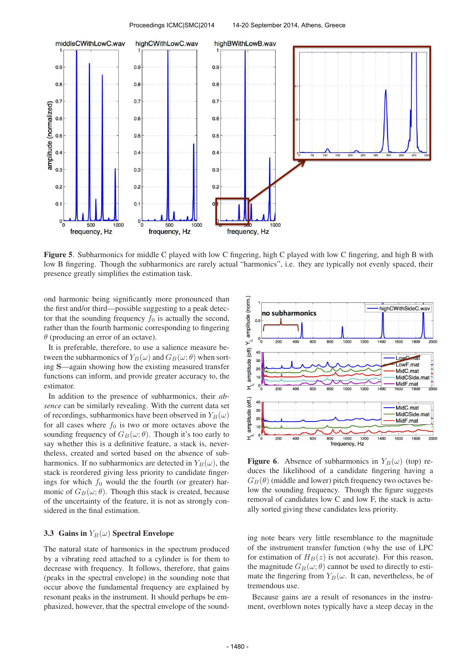

Figure 5. Subharmonics for middle C played with low C fingering, high C played with low C fingering, and high B with low B fingering. Though the subharmonics are rarely actual "harmonics", i.e. they are typically not evenly spaced, their presence greatly simplifies the estimation task.

ond harmonic being significantly more pronounced than the first and/or third—possible suggesting to a peak detector that the sounding frequency  $f_0$  is actually the second, rather than the fourth harmonic corresponding to fingering  $\theta$  (producing an error of an octave).

It is preferable, therefore, to use a salience measure between the subharmonics of  $Y_B(\omega)$  and  $G_B(\omega; \theta)$  when sorting S—again showing how the existing measured transfer functions can inform, and provide greater accuracy to, the estimator.

In addition to the presence of subharmonics, their *absence* can be similarly revealing. With the current data set of recordings, subharmonics have been observed in  $Y_B(\omega)$ for all cases where  $f_0$  is two or more octaves above the sounding frequency of  $G_B(\omega; \theta)$ . Though it's too early to say whether this is a definitive feature, a stack is, nevertheless, created and sorted based on the absence of subharmonics. If no subharmonics are detected in  $Y_B(\omega)$ , the stack is reordered giving less priority to candidate fingerings for which  $f_0$  would the the fourth (or greater) harmonic of  $G_B(\omega; \theta)$ . Though this stack is created, because of the uncertainty of the feature, it is not as strongly considered in the final estimation.

# 3.3 Gains in  $Y_B(\omega)$  Spectral Envelope

The natural state of harmonics in the spectrum produced by a vibrating reed attached to a cylinder is for them to decrease with frequency. It follows, therefore, that gains (peaks in the spectral envelope) in the sounding note that occur above the fundamental frequency are explained by resonant peaks in the instrument. It should perhaps be emphasized, however, that the spectral envelope of the sound-



**Figure 6.** Absence of subharmonics in  $Y_B(\omega)$  (top) reduces the likelihood of a candidate fingering having a  $G_B(\theta)$  (middle and lower) pitch frequency two octaves below the sounding frequency. Though the figure suggests removal of candidates low C and low F, the stack is actually sorted giving these candidates less priority.

ing note bears very little resemblance to the magnitude of the instrument transfer function (why the use of LPC for estimation of  $H_B(z)$  is not accurate). For this reason, the magnitude  $G_B(\omega; \theta)$  cannot be used to directly to estimate the fingering from  $Y_B(\omega)$ . It can, nevertheless, be of tremendous use.

Because gains are a result of resonances in the instrument, overblown notes typically have a steep decay in the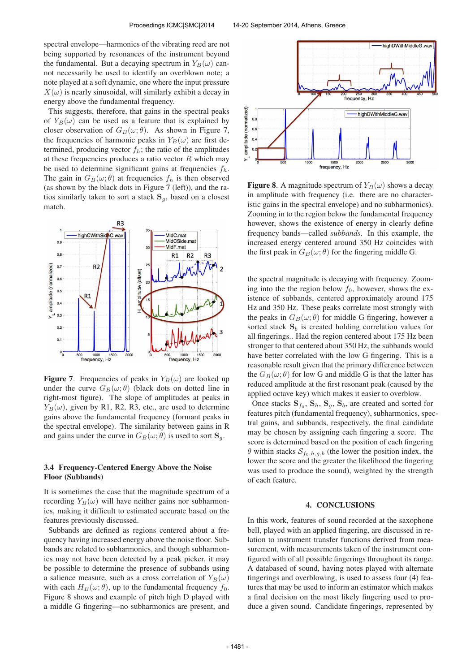spectral envelope—harmonics of the vibrating reed are not being supported by resonances of the instrument beyond the fundamental. But a decaying spectrum in  $Y_B(\omega)$  cannot necessarily be used to identify an overblown note; a note played at a soft dynamic, one where the input pressure  $X(\omega)$  is nearly sinusoidal, will similarly exhibit a decay in energy above the fundamental frequency.

This suggests, therefore, that gains in the spectral peaks of  $Y_B(\omega)$  can be used as a feature that is explained by closer observation of  $G_B(\omega; \theta)$ . As shown in Figure 7, the frequencies of harmonic peaks in  $Y_B(\omega)$  are first determined, producing vector  $f_h$ ; the ratio of the amplitudes at these frequencies produces a ratio vector  $R$  which may be used to determine significant gains at frequencies  $f_h$ . The gain in  $G_B(\omega; \theta)$  at frequencies  $f_h$  is then observed (as shown by the black dots in Figure 7 (left)), and the ratios similarly taken to sort a stack  $S_q$ , based on a closest match.



**Figure 7.** Frequencies of peaks in  $Y_B(\omega)$  are looked up under the curve  $G_B(\omega; \theta)$  (black dots on dotted line in right-most figure). The slope of amplitudes at peaks in  $Y_B(\omega)$ , given by R1, R2, R3, etc., are used to determine gains above the fundamental frequency (formant peaks in the spectral envelope). The similarity between gains in R and gains under the curve in  $G_B(\omega; \theta)$  is used to sort  $\mathbf{S}_q$ .

# 3.4 Frequency-Centered Energy Above the Noise Floor (Subbands)

It is sometimes the case that the magnitude spectrum of a recording  $Y_B(\omega)$  will have neither gains nor subharmonics, making it difficult to estimated accurate based on the features previously discussed.

Subbands are defined as regions centered about a frequency having increased energy above the noise floor. Subbands are related to subharmonics, and though subharmonics may not have been detected by a peak picker, it may be possible to determine the presence of subbands using a salience measure, such as a cross correlation of  $Y_B(\omega)$ with each  $H_B(\omega; \theta)$ , up to the fundamental frequency  $f_0$ . Figure 8 shows and example of pitch high D played with a middle G fingering—no subharmonics are present, and



**Figure 8.** A magnitude spectrum of  $Y_B(\omega)$  shows a decay in amplitude with frequency (i.e. there are no characteristic gains in the spectral envelope) and no subharmonics). Zooming in to the region below the fundamental frequency however, shows the existence of energy in clearly define frequency bands—called *subbands*. In this example, the increased energy centered around 350 Hz coincides with the first peak in  $G_B(\omega; \theta)$  for the fingering middle G.

the spectral magnitude is decaying with frequency. Zooming into the the region below  $f_0$ , however, shows the existence of subbands, centered approximately around 175 Hz and 350 Hz. These peaks correlate most strongly with the peaks in  $G_B(\omega; \theta)$  for middle G fingering, however a sorted stack  $S_b$  is created holding correlation values for all fingerings.. Had the region centered about 175 Hz been stronger to that centered about 350 Hz, the subbands would have better correlated with the low G fingering. This is a reasonable result given that the primary difference between the  $G_B(\omega; \theta)$  for low G and middle G is that the latter has reduced amplitude at the first resonant peak (caused by the applied octave key) which makes it easier to overblow.

Once stacks  $S_{f_0}$ ,  $S_h$ ,  $S_g$ ,  $S_b$ , are created and sorted for features pitch (fundamental frequency), subharmonics, spectral gains, and subbands, respectively, the final candidate may be chosen by assigning each fingering a score. The score is determined based on the position of each fingering  $\theta$  within stacks  $S_{f_0,h,g,b}$  (the lower the position index, the lower the score and the greater the likelihood the fingering was used to produce the sound), weighted by the strength of each feature.

#### 4. CONCLUSIONS

In this work, features of sound recorded at the saxophone bell, played with an applied fingering, are discussed in relation to instrument transfer functions derived from measurement, with measurements taken of the instrument configured with of all possible fingerings throughout its range. A databased of sound, having notes played with alternate fingerings and overblowing, is used to assess four (4) features that may be used to inform an estimator which makes a final decision on the most likely fingering used to produce a given sound. Candidate fingerings, represented by